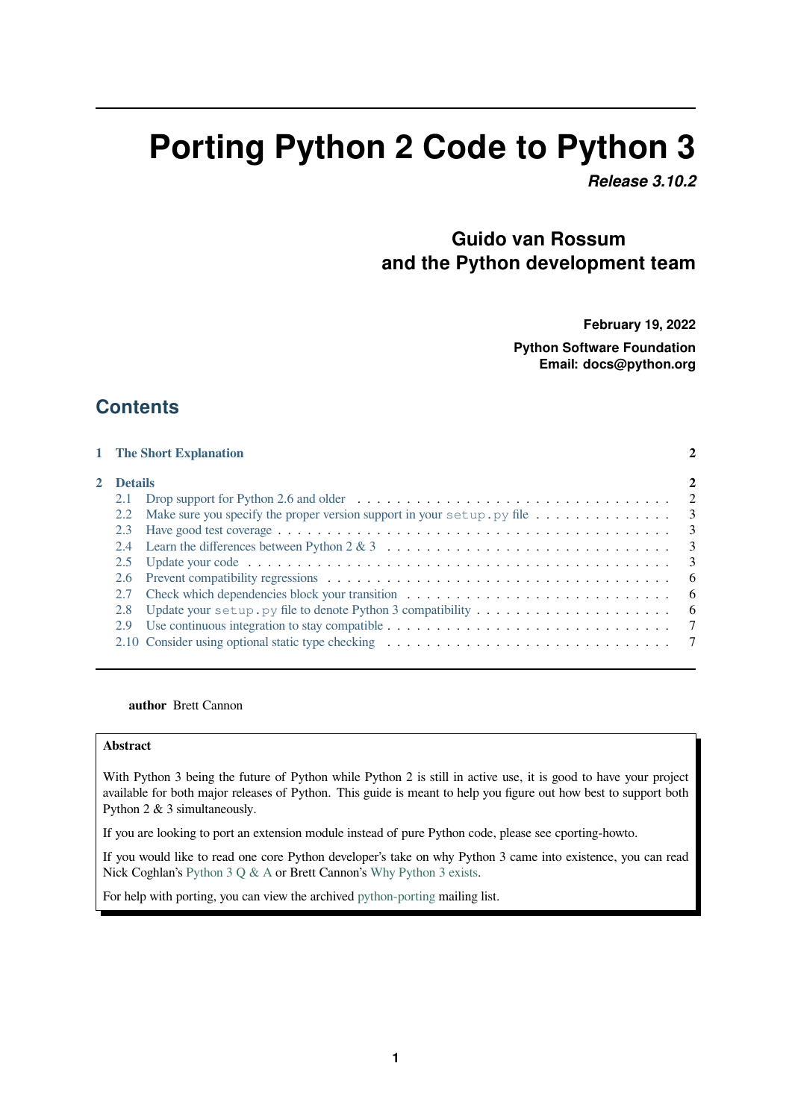# **Porting Python 2 Code to Python 3**

*Release 3.10.2*

# **Guido van Rossum and the Python development team**

**February 19, 2022**

**Python Software Foundation Email: docs@python.org**

# **Contents**

|           | 1 The Short Explanation                                                                                                                     |  |
|-----------|---------------------------------------------------------------------------------------------------------------------------------------------|--|
| 2 Details |                                                                                                                                             |  |
| 2.1       | Drop support for Python 2.6 and older $\dots \dots \dots \dots \dots \dots \dots \dots \dots \dots \dots \dots \dots \dots$                 |  |
| 2.2       |                                                                                                                                             |  |
| 2.3       |                                                                                                                                             |  |
|           | 2.4 Learn the differences between Python $2 \& 3 \quad \dots \dots \dots \dots \dots \dots \dots \dots \dots \dots \dots \dots \dots \dots$ |  |
|           |                                                                                                                                             |  |
| 2.6       |                                                                                                                                             |  |
| 2.7       |                                                                                                                                             |  |
| 2.8       | Update your setup. py file to denote Python 3 compatibility $\dots \dots \dots \dots \dots \dots$                                           |  |
| 2.9       |                                                                                                                                             |  |
|           |                                                                                                                                             |  |

#### **author** [Brett Cannon](#page-6-0)

#### **Abstract**

With Python 3 being the future of Python while Python 2 is still in active use, it is good to have your project available for both major releases of Python. This guide is meant to help you figure out how best to support both Python 2 & 3 simultaneously.

If you are looking to port an extension module instead of pure Python code, please see cporting-howto.

If you would like to read one core Python developer's take on why Python 3 came into existence, you can read Nick Coghlan's Python 3 Q & A or Brett Cannon's Why Python 3 exists.

For help with porting, you can view the archived python-porting mailing list.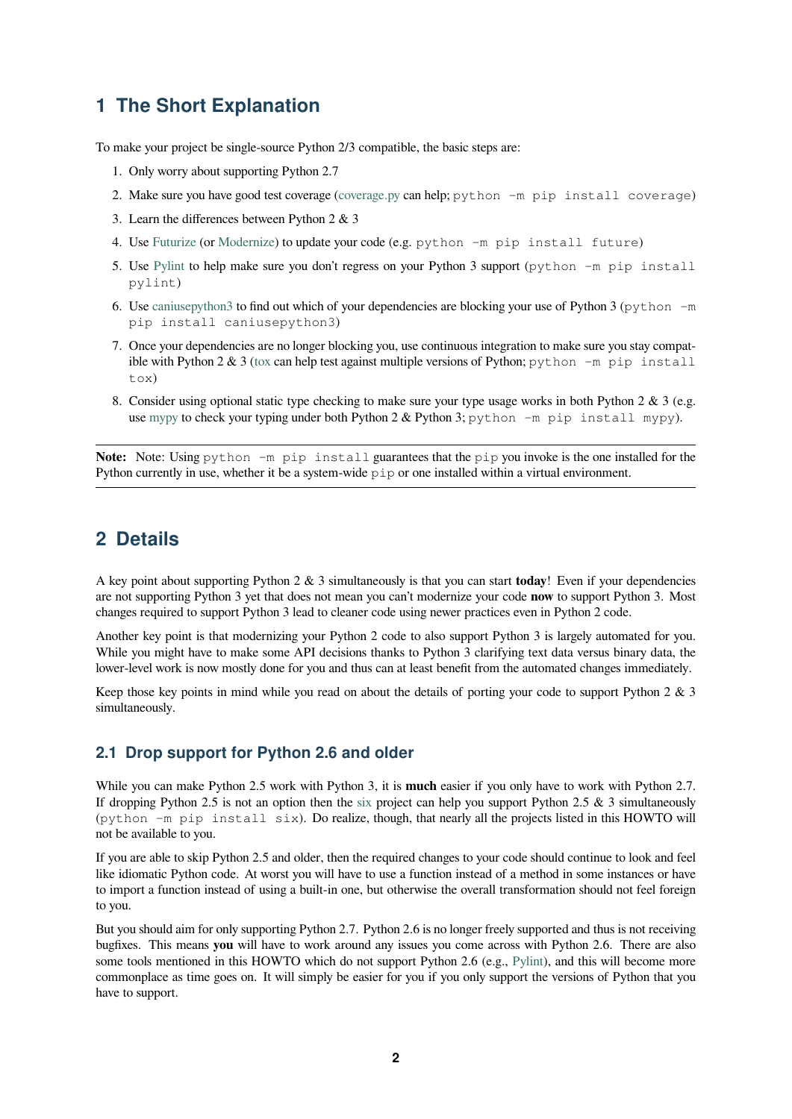# **1 The Short Explanation**

To make your project be single-source Python 2/3 compatible, the basic steps are:

- <span id="page-1-0"></span>1. Only worry about supporting Python 2.7
- 2. Make sure you have good test coverage (coverage.py can help; python -m pip install coverage)
- 3. Learn the differences between Python 2 & 3
- 4. Use Futurize (or Modernize) to update your code (e.g. python -m pip install future)
- 5. Use Pylint to help make sure you don't [regress on](https://pypi.org/project/coverage) your Python 3 support (python -m pip install pylint)
- 6. Use [caniusep](http://python-future.org/automatic_conversion.html)ython3 [to find o](https://python-modernize.readthedocs.io/)ut which of your dependencies are blocking your use of Python 3 (python  $-m$ pip [inst](https://pypi.org/project/pylint)all caniusepython3)
- 7. Once your dependencies are no longer blocking you, use continuous integration to make sure you stay compatible with Python 2  $\&$  3 (tox can help test against multiple versions of Python; python  $-m$  pip install tox)
- 8. Consider using optional static type checking to make sure your type usage works in both Python 2 & 3 (e.g. use mypy to check your [typ](https://pypi.org/project/tox)ing under both Python  $2 \&$  Python 3; python  $-m$  pip install mypy).

**Note:** Note: Using python -m pip install guarantees that the pip you invoke is the one installed for the Python cu[rrently](http://mypy-lang.org/) in use, whether it be a system-wide pip or one installed within a virtual environment.

# **2 Details**

<span id="page-1-1"></span>A key point about supporting Python 2 & 3 simultaneously is that you can start **today**! Even if your dependencies are not supporting Python 3 yet that does not mean you can't modernize your code **now** to support Python 3. Most changes required to support Python 3 lead to cleaner code using newer practices even in Python 2 code.

Another key point is that modernizing your Python 2 code to also support Python 3 is largely automated for you. While you might have to make some API decisions thanks to Python 3 clarifying text data versus binary data, the lower-level work is now mostly done for you and thus can at least benefit from the automated changes immediately.

Keep those key points in mind while you read on about the details of porting your code to support Python 2 & 3 simultaneously.

## **2.1 Drop support for Python 2.6 and older**

<span id="page-1-2"></span>While you can make Python 2.5 work with Python 3, it is **much** easier if you only have to work with Python 2.7. If dropping Python 2.5 is not an option then the six project can help you support Python 2.5  $\&$  3 simultaneously (python -m pip install six). Do realize, though, that nearly all the projects listed in this HOWTO will not be available to you.

If you are able to skip Python 2.5 and older, then the required changes to your code should continue to look and feel like idiomatic Python code. At worst you will hav[e to](https://pypi.org/project/six) use a function instead of a method in some instances or have to import a function instead of using a built-in one, but otherwise the overall transformation should not feel foreign to you.

But you should aim for only supporting Python 2.7. Python 2.6 is no longer freely supported and thus is not receiving bugfixes. This means **you** will have to work around any issues you come across with Python 2.6. There are also some tools mentioned in this HOWTO which do not support Python 2.6 (e.g., Pylint), and this will become more commonplace as time goes on. It will simply be easier for you if you only support the versions of Python that you have to support.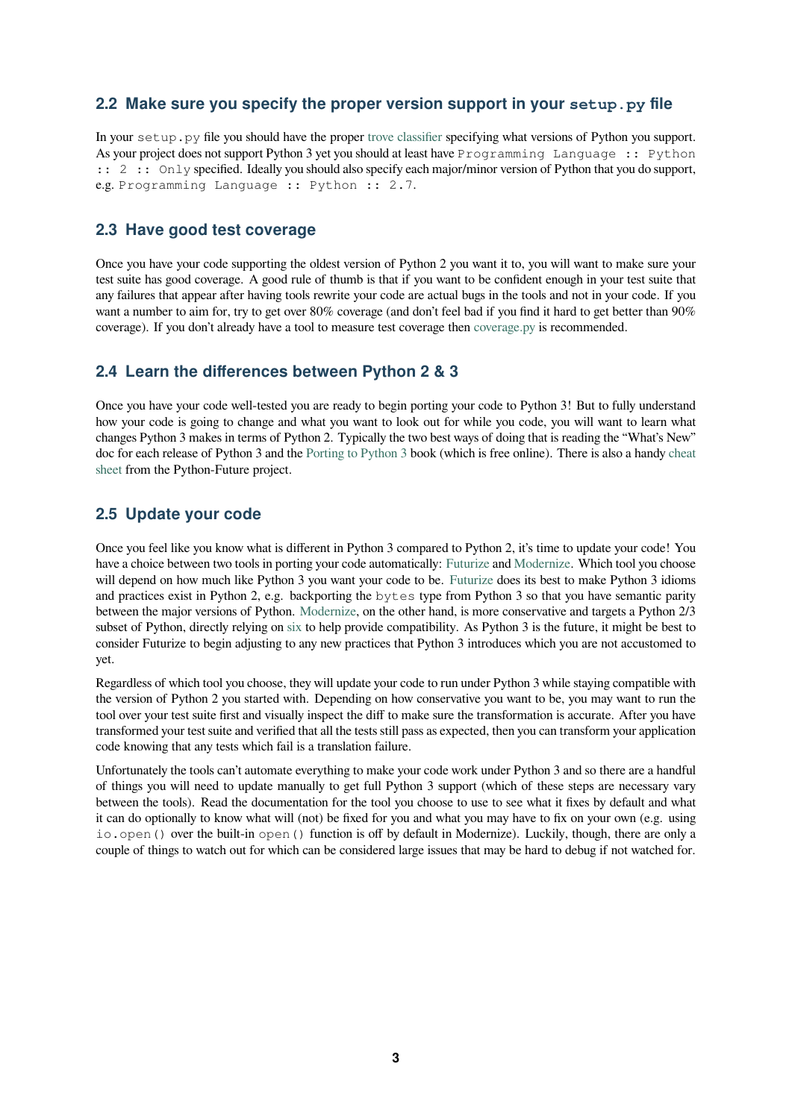### **2.2 Make sure you specify the proper version support in your setup.py file**

<span id="page-2-0"></span>In your setup.py file you should have the proper trove classifier specifying what versions of Python you support. As your project does not support Python 3 yet you should at least have Programming Language :: Python :: 2 :: Only specified. Ideally you should also specify each major/minor version of Python that you do support, e.g. Programming Language :: Python :: 2.7.

#### **2.3 Have good test coverage**

<span id="page-2-1"></span>Once you have your code supporting the oldest version of Python 2 you want it to, you will want to make sure your test suite has good coverage. A good rule of thumb is that if you want to be confident enough in your test suite that any failures that appear after having tools rewrite your code are actual bugs in the tools and not in your code. If you want a number to aim for, try to get over 80% coverage (and don't feel bad if you find it hard to get better than 90% coverage). If you don't already have a tool to measure test coverage then coverage.py is recommended.

## **2.4 Learn the differences between Python 2 & 3**

<span id="page-2-2"></span>Once you have your code well-tested you are ready to begin porting you[r code to Pyt](https://pypi.org/project/coverage)hon 3! But to fully understand how your code is going to change and what you want to look out for while you code, you will want to learn what changes Python 3 makes in terms of Python 2. Typically the two best ways of doing that is reading the "What's New" doc for each release of Python 3 and the Porting to Python 3 book (which is free online). There is also a handy cheat sheet from the Python-Future project.

## **2.5 Update your code**

<span id="page-2-3"></span>[Once](http://python-future.org/compatible_idioms.html) you feel like you know what is different in Python 3 compared to Python 2, it's time to update your code! You have a choice between two tools in porting your code automatically: Futurize and Modernize. Which tool you choose will depend on how much like Python 3 you want your code to be. Futurize does its best to make Python 3 idioms and practices exist in Python 2, e.g. backporting the bytes type from Python 3 so that you have semantic parity between the major versions of Python. Modernize, on the other hand, is more conservative and targets a Python 2/3 subset of Python, directly relying on six to help provide compatibil[ity. As Py](http://python-future.org/automatic_conversion.html)tho[n 3 is the fu](https://python-modernize.readthedocs.io/)ture, it might be best to consider Futurize to begin adjusting to any new practices that Pytho[n 3 introd](http://python-future.org/automatic_conversion.html)uces which you are not accustomed to yet.

Regardless of which tool you choose, t[hey will upda](https://python-modernize.readthedocs.io/)te your code to run under Python 3 while staying compatible with the version of Python 2 you started [with](https://pypi.org/project/six). Depending on how conservative you want to be, you may want to run the tool over your test suite first and visually inspect the diff to make sure the transformation is accurate. After you have transformed your test suite and verified that all the tests still pass as expected, then you can transform your application code knowing that any tests which fail is a translation failure.

Unfortunately the tools can't automate everything to make your code work under Python 3 and so there are a handful of things you will need to update manually to get full Python 3 support (which of these steps are necessary vary between the tools). Read the documentation for the tool you choose to use to see what it fixes by default and what it can do optionally to know what will (not) be fixed for you and what you may have to fix on your own (e.g. using io.open() over the built-in open() function is off by default in Modernize). Luckily, though, there are only a couple of things to watch out for which can be considered large issues that may be hard to debug if not watched for.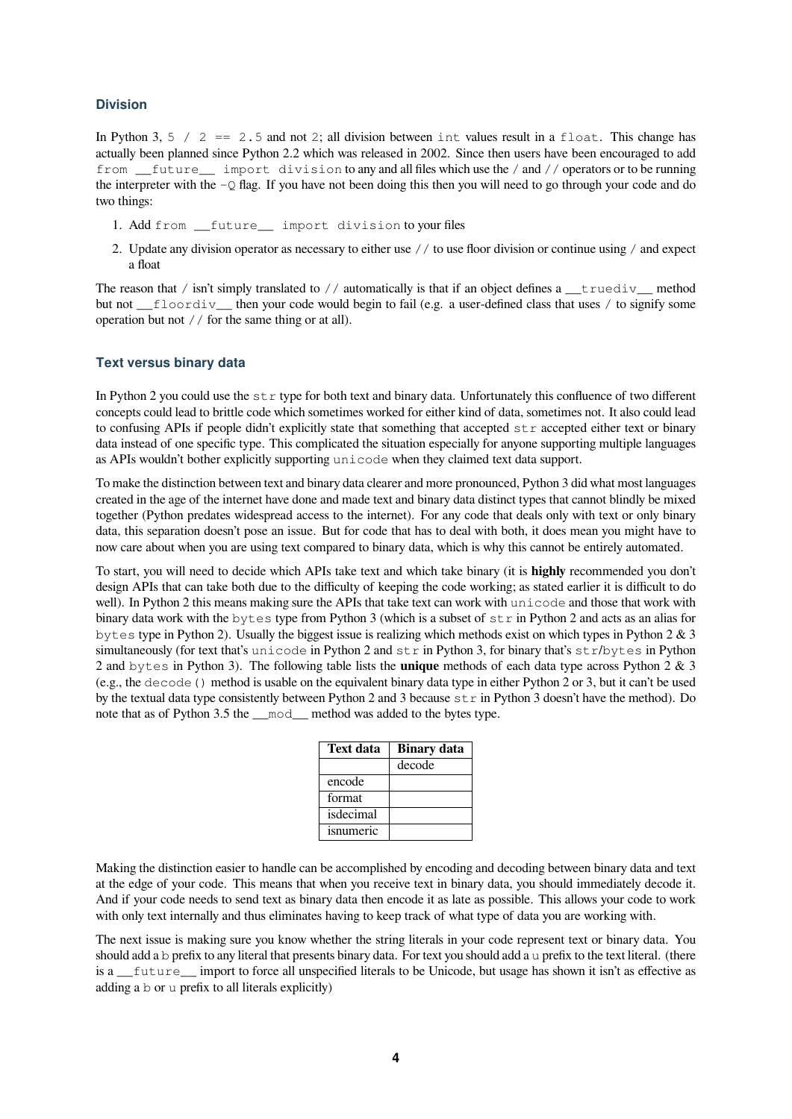#### **Division**

In Python 3,  $5 / 2 = 2.5$  and not 2; all division between int values result in a float. This change has actually been planned since Python 2.2 which was released in 2002. Since then users have been encouraged to add from future import division to any and all files which use the / and // operators or to be running the interpreter with the  $-\circ$  flag. If you have not been doing this then you will need to go through your code and do two things:

- 1. Add from \_\_future\_\_ import division to your files
- 2. Update any division operator as necessary to either use // to use floor division or continue using / and expect a float

The reason that / isn't simply translated to // automatically is that if an object defines  $a$  \_\_truediv\_ method but not \_floordiv\_ then your code would begin to fail (e.g. a user-defined class that uses / to signify some operation but not // for the same thing or at all).

#### **Text versus binary data**

In Python 2 you could use the  $str$  type for both text and binary data. Unfortunately this confluence of two different concepts could lead to brittle code which sometimes worked for either kind of data, sometimes not. It also could lead to confusing APIs if people didn't explicitly state that something that accepted  $str$  accepted either text or binary data instead of one specific type. This complicated the situation especially for anyone supporting multiple languages as APIs wouldn't bother explicitly supporting unicode when they claimed text data support.

To make the distinction between text and binary data clearer and more pronounced, Python 3 did what most languages created in the age of the internet have done and made text and binary data distinct types that cannot blindly be mixed together (Python predates widespread access to the internet). For any code that deals only with text or only binary data, this separation doesn't pose an issue. But for code that has to deal with both, it does mean you might have to now care about when you are using text compared to binary data, which is why this cannot be entirely automated.

To start, you will need to decide which APIs take text and which take binary (it is **highly** recommended you don't design APIs that can take both due to the difficulty of keeping the code working; as stated earlier it is difficult to do well). In Python 2 this means making sure the APIs that take text can work with unicode and those that work with binary data work with the bytes type from Python 3 (which is a subset of str in Python 2 and acts as an alias for bytes type in Python 2). Usually the biggest issue is realizing which methods exist on which types in Python 2 & 3 simultaneously (for text that's unicode in Python 2 and  $str$  in Python 3, for binary that's  $str$ /bytes in Python 2 and bytes in Python 3). The following table lists the **unique** methods of each data type across Python 2 & 3 (e.g., the decode() method is usable on the equivalent binary data type in either Python 2 or 3, but it can't be used by the textual data type consistently between Python 2 and 3 because  $\text{str}$  in Python 3 doesn't have the method). Do note that as of Python 3.5 the \_\_mod\_\_ method was added to the bytes type.

| Text data | <b>Binary</b> data |
|-----------|--------------------|
|           | decode             |
| encode    |                    |
| format    |                    |
| isdecimal |                    |
| isnumeric |                    |

Making the distinction easier to handle can be accomplished by encoding and decoding between binary data and text at the edge of your code. This means that when you receive text in binary data, you should immediately decode it. And if your code needs to send text as binary data then encode it as late as possible. This allows your code to work with only text internally and thus eliminates having to keep track of what type of data you are working with.

The next issue is making sure you know whether the string literals in your code represent text or binary data. You should add a b prefix to any literal that presents binary data. For text you should add a u prefix to the text literal. (there is a \_\_future\_\_ import to force all unspecified literals to be Unicode, but usage has shown it isn't as effective as adding a b or u prefix to all literals explicitly)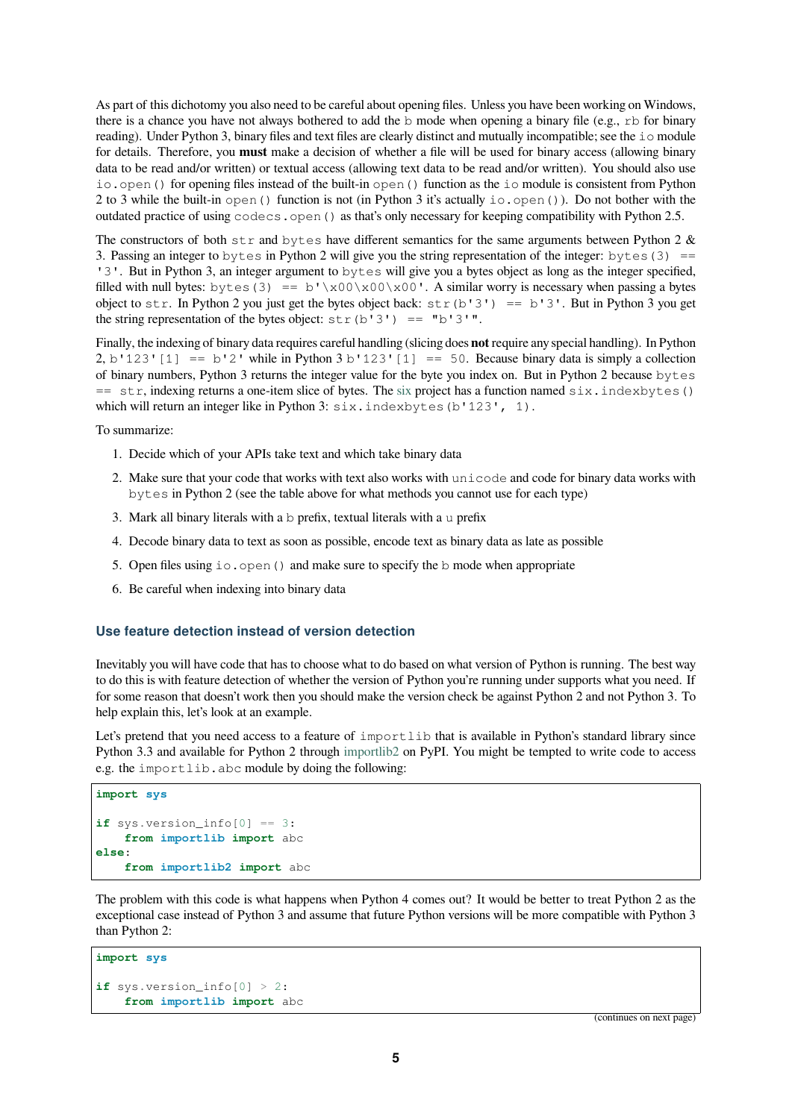As part of this dichotomy you also need to be careful about opening files. Unless you have been working on Windows, there is a chance you have not always bothered to add the b mode when opening a binary file (e.g.,  $rb$  for binary reading). Under Python 3, binary files and text files are clearly distinct and mutually incompatible; see the io module for details. Therefore, you **must** make a decision of whether a file will be used for binary access (allowing binary data to be read and/or written) or textual access (allowing text data to be read and/or written). You should also use io.open() for opening files instead of the built-in open() function as the io module is consistent from Python 2 to 3 while the built-in open() function is not (in Python 3 it's actually io.open()). Do not bother with the outdated practice of using codecs.open() as that's only necessary for keeping compatibility with Python 2.5.

The constructors of both  $str$  and bytes have different semantics for the same arguments between Python 2  $\&$ 3. Passing an integer to bytes in Python 2 will give you the string representation of the integer: bytes (3)  $=$ '3'. But in Python 3, an integer argument to bytes will give you a bytes object as long as the integer specified, filled with null bytes: bytes (3) == b'\x00\x00\x00'. A similar worry is necessary when passing a bytes object to str. In Python 2 you just get the bytes object back:  $str(b'3') == b'3'$ . But in Python 3 you get the string representation of the bytes object:  $str(b'3') == "b'3"$ .

Finally, the indexing of binary data requires careful handling (slicing does **not** require any special handling). In Python 2, b'123'[1] == b'2' while in Python 3 b'123'[1] == 50. Because binary data is simply a collection of binary numbers, Python 3 returns the integer value for the byte you index on. But in Python 2 because bytes == str, indexing returns a one-item slice of bytes. The six project has a function named six.indexbytes() which will return an integer like in Python 3: six.indexbytes(b'123', 1).

To summarize:

- 1. Decide which of your APIs take text and which tak[e bi](https://pypi.org/project/six)nary data
- 2. Make sure that your code that works with text also works with unicode and code for binary data works with bytes in Python 2 (see the table above for what methods you cannot use for each type)
- 3. Mark all binary literals with a b prefix, textual literals with a u prefix
- 4. Decode binary data to text as soon as possible, encode text as binary data as late as possible
- 5. Open files using  $\text{i} \circ \text{open}$  () and make sure to specify the b mode when appropriate
- 6. Be careful when indexing into binary data

#### **Use feature detection instead of version detection**

Inevitably you will have code that has to choose what to do based on what version of Python is running. The best way to do this is with feature detection of whether the version of Python you're running under supports what you need. If for some reason that doesn't work then you should make the version check be against Python 2 and not Python 3. To help explain this, let's look at an example.

Let's pretend that you need access to a feature of importlib that is available in Python's standard library since Python 3.3 and available for Python 2 through importlib2 on PyPI. You might be tempted to write code to access e.g. the importlib.abc module by doing the following:

```
import sys
if sys.version_info[0] == 3:
    from importlib import abc
else:
    from importlib2 import abc
```
The problem with this code is what happens when Python 4 comes out? It would be better to treat Python 2 as the exceptional case instead of Python 3 and assume that future Python versions will be more compatible with Python 3 than Python 2:

```
import sys
if sys.version_info[0] > 2:
    from importlib import abc
```
(continues on next page)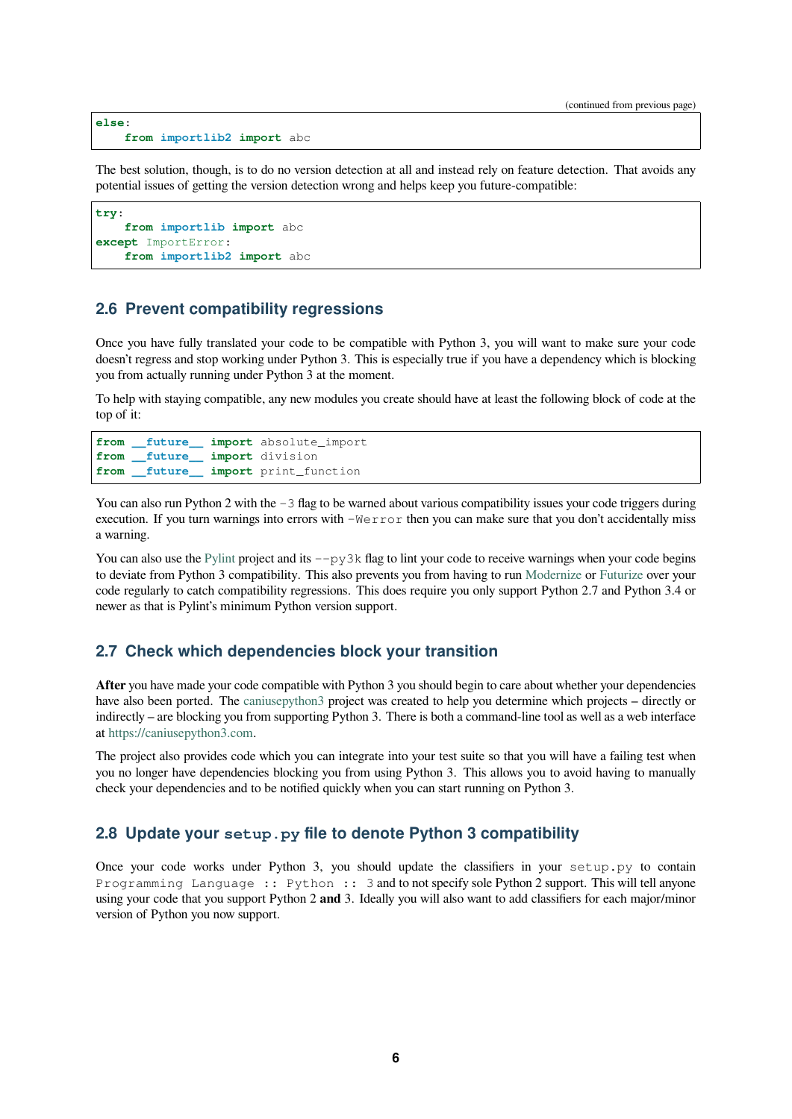```
else:
    from importlib2 import abc
```
The best solution, though, is to do no version detection at all and instead rely on feature detection. That avoids any potential issues of getting the version detection wrong and helps keep you future-compatible:

```
try:
    from importlib import abc
except ImportError:
    from importlib2 import abc
```
#### **2.6 Prevent compatibility regressions**

<span id="page-5-0"></span>Once you have fully translated your code to be compatible with Python 3, you will want to make sure your code doesn't regress and stop working under Python 3. This is especially true if you have a dependency which is blocking you from actually running under Python 3 at the moment.

To help with staying compatible, any new modules you create should have at least the following block of code at the top of it:

```
from __future__ import absolute_import
from future import division
from __future__ import print_function
```
You can also run Python 2 with the  $-3$  flag to be warned about various compatibility issues your code triggers during execution. If you turn warnings into errors with -Werror then you can make sure that you don't accidentally miss a warning.

You can also use the Pylint project and its  $-\frac{p}{3}k$  flag to lint your code to receive warnings when your code begins to deviate from Python 3 compatibility. This also prevents you from having to run Modernize or Futurize over your code regularly to catch compatibility regressions. This does require you only support Python 2.7 and Python 3.4 or newer as that is Pylint's minimum Python version support.

#### **2.7 Check which dependencies block your transition**

**After** you have made your code compatible with Python 3 you should begin to care about whether your dependencies have also been ported. The caniusepython3 project was created to help you determine which projects – directly or indirectly – are blocking you from supporting Python 3. There is both a command-line tool as well as a web interface at https://caniusepython3.com.

The project also provides code which you can integrate into your test suite so that you will have a failing test when you no longer have depende[ncies blocking y](https://pypi.org/project/caniusepython3)ou from using Python 3. This allows you to avoid having to manually ch[eck your dependencies and t](https://caniusepython3.com)o be notified quickly when you can start running on Python 3.

#### **2.8 Update your setup.py file to denote Python 3 compatibility**

Once your code works under Python 3, you should update the classifiers in your setup.py to contain Programming Language :: Python :: 3 and to not specify sole Python 2 support. This will tell anyone using your code that you support Python 2 **and** 3. Ideally you will also want to add classifiers for each major/minor version of Python you now support.